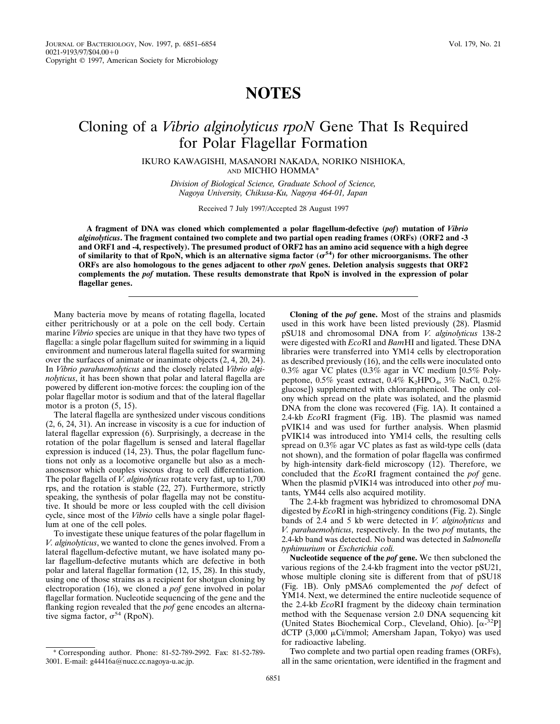## **NOTES**

## Cloning of a *Vibrio alginolyticus rpoN* Gene That Is Required for Polar Flagellar Formation

IKURO KAWAGISHI, MASANORI NAKADA, NORIKO NISHIOKA, AND MICHIO HOMMA\*

> *Division of Biological Science, Graduate School of Science, Nagoya University, Chikusa-Ku, Nagoya 464-01, Japan*

> > Received 7 July 1997/Accepted 28 August 1997

**A fragment of DNA was cloned which complemented a polar flagellum-defective (***pof***) mutation of** *Vibrio alginolyticus***. The fragment contained two complete and two partial open reading frames (ORFs) (ORF2 and -3 and ORF1 and -4, respectively). The presumed product of ORF2 has an amino acid sequence with a high degree** of similarity to that of RpoN, which is an alternative sigma factor  $(\sigma^{54})$  for other microorganisms. The other **ORFs are also homologous to the genes adjacent to other** *rpoN* **genes. Deletion analysis suggests that ORF2 complements the** *pof* **mutation. These results demonstrate that RpoN is involved in the expression of polar flagellar genes.**

Many bacteria move by means of rotating flagella, located either peritrichously or at a pole on the cell body. Certain marine *Vibrio* species are unique in that they have two types of flagella: a single polar flagellum suited for swimming in a liquid environment and numerous lateral flagella suited for swarming over the surfaces of animate or inanimate objects (2, 4, 20, 24). In *Vibrio parahaemolyticus* and the closely related *Vibrio alginolyticus*, it has been shown that polar and lateral flagella are powered by different ion-motive forces: the coupling ion of the polar flagellar motor is sodium and that of the lateral flagellar motor is a proton (5, 15).

The lateral flagella are synthesized under viscous conditions (2, 6, 24, 31). An increase in viscosity is a cue for induction of lateral flagellar expression (6). Surprisingly, a decrease in the rotation of the polar flagellum is sensed and lateral flagellar expression is induced (14, 23). Thus, the polar flagellum functions not only as a locomotive organelle but also as a mechanosensor which couples viscous drag to cell differentiation. The polar flagella of *V. alginolyticus* rotate very fast, up to 1,700 rps, and the rotation is stable (22, 27). Furthermore, strictly speaking, the synthesis of polar flagella may not be constitutive. It should be more or less coupled with the cell division cycle, since most of the *Vibrio* cells have a single polar flagellum at one of the cell poles.

To investigate these unique features of the polar flagellum in *V. alginolyticus*, we wanted to clone the genes involved. From a lateral flagellum-defective mutant, we have isolated many polar flagellum-defective mutants which are defective in both polar and lateral flagellar formation (12, 15, 28). In this study, using one of those strains as a recipient for shotgun cloning by electroporation (16), we cloned a *pof* gene involved in polar flagellar formation. Nucleotide sequencing of the gene and the flanking region revealed that the *pof* gene encodes an alternative sigma factor,  $\sigma^{54}$  (RpoN).

**Cloning of the** *pof* **gene.** Most of the strains and plasmids used in this work have been listed previously (28). Plasmid pSU18 and chromosomal DNA from *V. alginolyticus* 138-2 were digested with *Eco*RI and *Bam*HI and ligated. These DNA libraries were transferred into YM14 cells by electroporation as described previously (16), and the cells were inoculated onto 0.3% agar VC plates (0.3% agar in VC medium [0.5% Polypeptone,  $0.5\%$  yeast extract,  $0.4\%$  K<sub>2</sub>HPO<sub>4</sub>,  $3\%$  NaCl,  $0.2\%$ glucose]) supplemented with chloramphenicol. The only colony which spread on the plate was isolated, and the plasmid DNA from the clone was recovered (Fig. 1A). It contained a 2.4-kb *Eco*RI fragment (Fig. 1B). The plasmid was named pVIK14 and was used for further analysis. When plasmid pVIK14 was introduced into YM14 cells, the resulting cells spread on 0.3% agar VC plates as fast as wild-type cells (data not shown), and the formation of polar flagella was confirmed by high-intensity dark-field microscopy (12). Therefore, we concluded that the *Eco*RI fragment contained the *pof* gene. When the plasmid pVIK14 was introduced into other *pof* mutants, YM44 cells also acquired motility.

The 2.4-kb fragment was hybridized to chromosomal DNA digested by *Eco*RI in high-stringency conditions (Fig. 2). Single bands of 2.4 and 5 kb were detected in *V. alginolyticus* and *V. parahaemolyticus*, respectively. In the two *pof* mutants, the 2.4-kb band was detected. No band was detected in *Salmonella typhimurium* or *Escherichia coli.*

**Nucleotide sequence of the** *pof* **gene.** We then subcloned the various regions of the 2.4-kb fragment into the vector pSU21, whose multiple cloning site is different from that of pSU18 (Fig. 1B). Only pMSA6 complemented the *pof* defect of YM14. Next, we determined the entire nucleotide sequence of the 2.4-kb *Eco*RI fragment by the dideoxy chain termination method with the Sequenase version 2.0 DNA sequencing kit (United States Biochemical Corp., Cleveland, Ohio). [a-32P] dCTP (3,000 µCi/mmol; Amersham Japan, Tokyo) was used for radioactive labeling.

Two complete and two partial open reading frames (ORFs), all in the same orientation, were identified in the fragment and

<sup>\*</sup> Corresponding author. Phone: 81-52-789-2992. Fax: 81-52-789- 3001. E-mail: g44416a@nucc.cc.nagoya-u.ac.jp.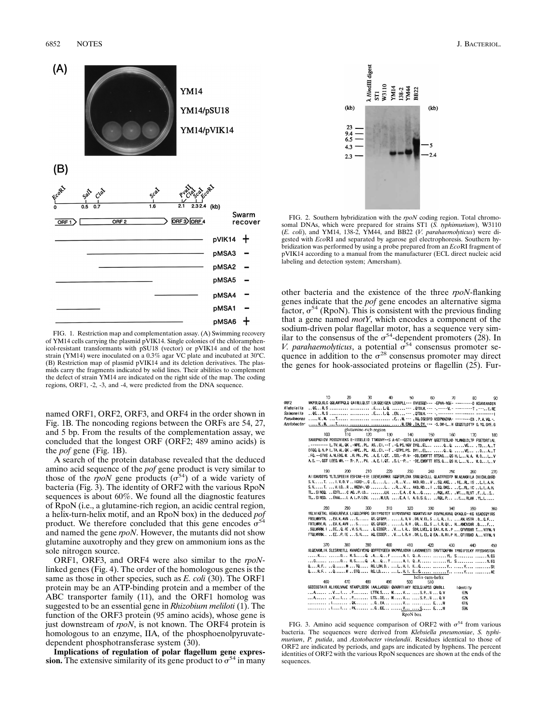

FIG. 1. Restriction map and complementation assay. (A) Swimming recovery of YM14 cells carrying the plasmid pVIK14. Single colonies of the chloramphenicol-resistant transformants with pSU18 (vector) or pVIK14 and of the host strain (YM14) were inoculated on a 0.3% agar VC plate and incubated at 30°C. (B) Restriction map of plasmid pVIK14 and its deletion derivatives. The plasmids carry the fragments indicated by solid lines. Their abilities to complement the defect of strain YM14 are indicated on the right side of the map. The coding regions, ORF1, -2, -3, and -4, were predicted from the DNA sequence.

named ORF1, ORF2, ORF3, and ORF4 in the order shown in Fig. 1B. The noncoding regions between the ORFs are 54, 27, and 5 bp. From the results of the complementation assay, we concluded that the longest ORF (ORF2; 489 amino acids) is the *pof* gene (Fig. 1B).

A search of the protein database revealed that the deduced amino acid sequence of the *pof* gene product is very similar to those of the *rpoN* gene products ( $\sigma^{54}$ ) of a wide variety of bacteria (Fig. 3). The identity of ORF2 with the various RpoN sequences is about 60%. We found all the diagnostic features of RpoN (i.e., a glutamine-rich region, an acidic central region, a helix-turn-helix motif, and an RpoN box) in the deduced *pof* product. We therefore concluded that this gene encodes  $\sigma^{54}$ and named the gene *rpoN*. However, the mutants did not show glutamine auxotrophy and they grew on ammonium ions as the sole nitrogen source.

ORF1, ORF3, and ORF4 were also similar to the *rpoN*linked genes (Fig. 4). The order of the homologous genes is the same as those in other species, such as *E. coli* (30). The ORF1 protein may be an ATP-binding protein and a member of the ABC transporter family (11), and the ORF1 homolog was suggested to be an essential gene in *Rhizobium meliloti* (1). The function of the ORF3 protein (95 amino acids), whose gene is just downstream of *rpoN*, is not known. The ORF4 protein is homologous to an enzyme, IIA, of the phosphoenolpyruvatedependent phosphotransferase system (30).

**Implications of regulation of polar flagellum gene expression.** The extensive similarity of its gene product to  $\sigma^{54}$  in many



FIG. 2. Southern hybridization with the *rpoN* coding region. Total chromosomal DNAs, which were prepared for strains ST1 (*S. typhimurium*), W3110 (*E. coli*), and YM14, 138-2, YM44, and BB22 (*V. parahaemolyticus*) were digested with *Eco*RI and separated by agarose gel electrophoresis. Southern hybridization was performed by using a probe prepared from an *Eco*RI fragment of pVIK14 according to a manual from the manufacturer (ECL direct nucleic acid labeling and detection system; Amersham).

other bacteria and the existence of the three *rpoN*-flanking genes indicate that the *pof* gene encodes an alternative sigma factor,  $\sigma^{54}$  (RpoN). This is consistent with the previous finding that a gene named *motY*, which encodes a component of the sodium-driven polar flagellar motor, has a sequence very similar to the consensus of the  $\sigma^{54}$ -dependent promoters (28). In *V. parahaemolyticus*, a potential  $\sigma^{54}$  consensus promoter sequence in addition to the  $\sigma^{28}$  consensus promoter may direct the genes for hook-associated proteins or flagellin (25). Fur-

|                  | 10                                                                       | 20  |                       | 30  | 40<br>50 | 60                      | 70  | ß۵                                                                                                                 | 90  |
|------------------|--------------------------------------------------------------------------|-----|-----------------------|-----|----------|-------------------------|-----|--------------------------------------------------------------------------------------------------------------------|-----|
| ORF <sub>2</sub> |                                                                          |     |                       |     |          |                         |     | MKPSLQLKLG QQLAMTPQLQ QAIRLLQLST LDLQQE1QEA LDSNPLL--- EVEEGOD--- -EPVA-NGE- --------- KSAVFAADSN                  |     |
| Klebsiella       |                                                                          |     |                       |     |          |                         |     | QGR.S  EL.Q. --- .QTDLH.--- -.------V.- ------------T .---E.RE                                                     |     |
| Salmonella       |                                                                          |     |                       |     |          |                         |     |                                                                                                                    |     |
| Pseudomonas      |                                                                          |     |                       |     |          |                         |     |                                                                                                                    |     |
| Azotobacter      |                                                                          |     |                       |     |          |                         |     |                                                                                                                    |     |
|                  |                                                                          |     | glutamine-rich region |     |          |                         |     |                                                                                                                    |     |
|                  | 100                                                                      | 110 | 120                   | 130 | 140      | 150                     | 160 | 170                                                                                                                | 180 |
|                  |                                                                          |     |                       |     |          |                         |     | SANEPADIDV PDSSDVIEKS E-ISSELEID TTWDDVY--S A-NT--GSTG LALDDDMPVY QGETTESLHD YLWWQLDLTP FSETDRTIAL                 |     |
|                  |                                                                          |     |                       |     |          |                         |     | .-------- L. TV. AL. QK .-MPE. . PL. AS. . EI. --T . -G. PS. NGV DYQ. . EL , Q. . Q. TD. A. . T                    |     |
|                  |                                                                          |     |                       |     |          |                         |     | DTQQ.Q.N.P L.TA.AL.QK.-MPE.PL AS.E1.--T.-GTPS.PS. DYI.ELQ.QVEDA.T                                                  |     |
|                  |                                                                          |     |                       |     |          |                         |     | . FQ. -- STVS A. NLEDG. W. . R. PN. . PV. . A. E. I. QT. . SSL--P. N- -DD. EWDFTT RTSAG QS H. L N. A. M. D.  L V   |     |
|                  |                                                                          |     |                       |     |          |                         |     | A.S. --. GGT LEEG. WH. -- R-. P., . PV. . A.E. I.QT. . S. L--P. .- -DE. EWDFTT RTS. G QS H. L., N.  M. D., . L., V |     |
|                  | 190                                                                      | 200 | 210                   | 220 | 230      | 240                     | 250 | 260                                                                                                                |     |
|                  |                                                                          |     |                       |     |          |                         |     | AI IDAVDDYG YLTLSPEETH ESFDNE-ETE LDEVEAVRKR TOOFDPLGVA SRNLOECLLL QLATFPEDTP WLAEAKMILA DHIDHLGNRD                | 270 |
|                  |                                                                          |     |                       |     |          |                         |     | S.VT.  I.V.D.V. . IGDD- G.EL. RV AKD.RDV.SQ.AKE IE.RL ISLLA.H.                                                     |     |
|                  |                                                                          |     |                       |     |          |                         |     | S.VT. V.I.DR.,MGDV-,VDLR.,V AKD.RDI.SQ.DKSE.RLICLLA.H.                                                             |     |
|                  |                                                                          |     |                       |     |          |                         |     | TL.SINGQEDTLCAGP.IDLHE.AGAGROL.ATMTRLVT.FIS                                                                        |     |
|                  |                                                                          |     |                       |     |          |                         |     | TL. SINSD.  EAALL A. L. P. LGV.  M. LR.  E. A. I. A. D. S. S  RQL. P  E RLAK. YL. L                                |     |
|                  |                                                                          |     |                       |     |          |                         |     |                                                                                                                    |     |
|                  | 280                                                                      | 290 | 300                   | 310 | 320      | 330                     | 340 | 350                                                                                                                | 360 |
|                  |                                                                          |     |                       |     |          |                         |     | YKLVIKETKL KEADLREVLK LIQQLDPRPG SRITPDDTEY VIPDVSVFKD NGKWTVSINP DSVPKLKVNQ QYAQLG-~KG NSADSQYIRS                 |     |
|                  |                                                                          |     |                       |     |          |                         |     | FRSLMRVTREV.K.AVN S QS.QTGEPLRV.DRV.ELSLR.IAM.NSTR.D.C.F                                                           |     |
|                  |                                                                          |     |                       |     |          |                         |     | FRTUMRV.R. EV.K.AVN S QS.QTGEP L.R.H.GREL.S  I.R.QI HAMCNSAR .DF                                                   |     |
|                  |                                                                          |     |                       |     |          |                         |     | . SQLMRRM, I., DE., Q. (E., V. S. N, Q. ESSEP V I. R., SDR, LVEL, Q. EAI, R. R., P., ., GFVRRAR, T., . NTFM, N     |     |
|                  |                                                                          |     |                       |     |          |                         |     | FTQUARRM. EE. . P. 1E S. N. AQ. ESSEP. V. I. R. H. . DR. L. EL. Q EA. . R. RI. P. H., GFIRRAD A. NTFM. N           |     |
|                  |                                                                          |     |                       |     |          |                         |     |                                                                                                                    |     |
|                  | 370                                                                      | 380 | 390                   | 400 | 410      | 420                     | 430 | 440                                                                                                                | 450 |
|                  |                                                                          |     |                       |     |          |                         |     | NLQEAKWLIK SLESRNETLL KVARCIVEHQ QDFFEYGEEA MKPMVLKDVA LAVDMHESTI SRVTTOKFMH TPRGIFELKY FFSSHVSTDN                 |     |
|                  |                                                                          |     |                       |     |          |                         |     |                                                                                                                    |     |
|                  |                                                                          |     |                       |     |          |                         |     |                                                                                                                    |     |
|                  |                                                                          |     |                       |     |          |                         |     |                                                                                                                    |     |
|                  |                                                                          |     |                       |     |          |                         |     |                                                                                                                    |     |
|                  | 460                                                                      | 470 | 480                   | 490 | 500      | helix-turn-helix<br>510 |     |                                                                                                                    |     |
|                  | GGECSSTAIR ALIKKLVAAE NTAKPLSDSK TAALLADOGI QVARRTIAKY RESLGTAPSS ORKRIT |     |                       |     |          |                         |     | ldentity                                                                                                           |     |
|                  | A V I .P LTTM S MV S.PN  0.V                                             |     |                       |     |          |                         |     | 63%                                                                                                                |     |
|                  | A  V I . P LTS SE M V  S. P N  Q. V                                      |     |                       |     |          |                         |     | 62%                                                                                                                |     |
|                  | . I . QK  G EA V  E M                                                    |     |                       |     |          |                         |     | 61%                                                                                                                |     |
|                  | . I I . PK  G. EE  V  S E N                                              |     |                       |     |          |                         |     | 59%                                                                                                                |     |
|                  |                                                                          |     |                       |     | RnoN hox |                         |     |                                                                                                                    |     |

FIG. 3. Amino acid sequence comparison of ORF2 with  $\sigma^{54}$  from various bacteria. The sequences were derived from *Klebsiella pneumoniae*, *S. typhimurium*, *P. putida*, and *Azotobacter vinelandii*. Residues identical to those of ORF2 are indicated by periods, and gaps are indicated by hyphens. The percent identities of ORF2 with the various RpoN sequences are shown at the ends of the sequences.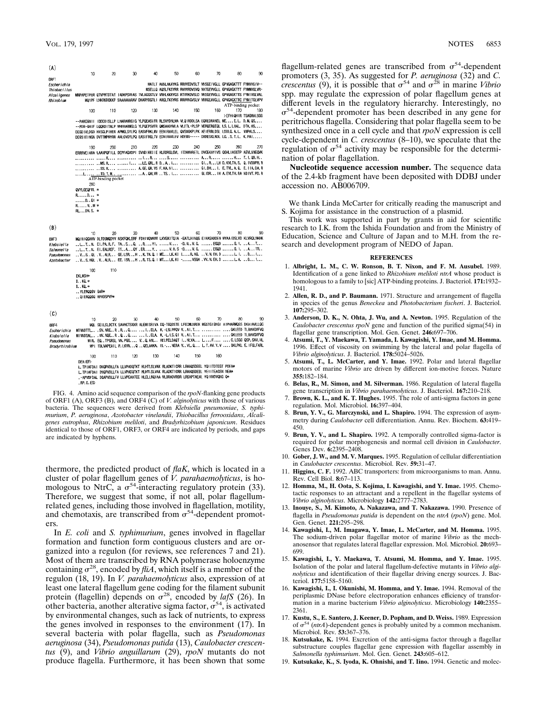| (A)                                                                                                                                                                                                                                                           |                         |                    |     |     |     |     |                                                                                                                                                                                                |     |                                                                                                                                  |
|---------------------------------------------------------------------------------------------------------------------------------------------------------------------------------------------------------------------------------------------------------------|-------------------------|--------------------|-----|-----|-----|-----|------------------------------------------------------------------------------------------------------------------------------------------------------------------------------------------------|-----|----------------------------------------------------------------------------------------------------------------------------------|
| ORF1                                                                                                                                                                                                                                                          | 10                      | 20                 | 30  | 40  | 50  | 60  | 70                                                                                                                                                                                             | 80  | 90                                                                                                                               |
| Escherichia                                                                                                                                                                                                                                                   |                         |                    |     |     |     |     | MATLT AKNLAKAYKG RRWEDVSLT VNSGEIVGLL GPNGAGKTTT FYMVVGIV--                                                                                                                                    |     |                                                                                                                                  |
| Thiobacillus<br>Alcal igenes                                                                                                                                                                                                                                  |                         |                    |     |     |     |     | MSELLQ AQSLFKSYRR RVVVRDVSVQ VATGEVVGLL GPNGAGKTTT FYMWGLVR-<br>MRPAPETPER QTVPMTDTAT IADKPSVEAS TVLAGGSTLV VRHLKKRYGS RTVVKDVSLD VKSGEVVGLL GPNGAGKTTS FYMIVGLVAL                             |     |                                                                                                                                  |
| Rhizobium                                                                                                                                                                                                                                                     |                         |                    |     |     |     |     |                                                                                                                                                                                                |     | MOJPF LHKRKRGKKP SAAAAAARAV DKARYDGTLI ARGLTKSYRS RRVVNGVSLV VRRGEAVGLL GPNGAGKTTC FYMITGLVPV                                    |
|                                                                                                                                                                                                                                                               | 100                     | 110                | 120 | 130 | 140 | 150 | 160                                                                                                                                                                                            | 170 | ATP-binding pocket<br>180                                                                                                        |
|                                                                                                                                                                                                                                                               |                         |                    |     |     |     |     |                                                                                                                                                                                                |     | >EFHIQHIR TSAGMALSGG                                                                                                             |
|                                                                                                                                                                                                                                                               |                         |                    |     |     |     |     | --PARCGNII IDDDDISLLP LHARARRGIG YLPQEASIFR RLSVYDNUMA VLQIRDDLSA EQREDRANEL MEE.L. D.M.QS<br>--PDR-GHIF LQQRDITALP MHERARMGLG YLPQEPSVFR QWSAADNVLA VLETL-PLSP VERQERQEQL LS. L. LHAL DTK. HS |     |                                                                                                                                  |
|                                                                                                                                                                                                                                                               |                         |                    |     |     |     |     | DEGDIVLDGD HISGLPIHER APMGLSYLPQ EASVFRKLNV EENIRAVLEL QVSNGKPLPK AEIERRLDSL LDDLQ.A.L. NNPALS                                                                                                 |     |                                                                                                                                  |
|                                                                                                                                                                                                                                                               |                         |                    |     |     |     |     | DEGSIEINGN DVTTMPNYRR ARLGVGYLPQ EASIFRGLTV EDNIRAVLEV HDENV----- DRRESKLNDL LGS.T.L. K.PAI                                                                                                    |     |                                                                                                                                  |
|                                                                                                                                                                                                                                                               | 190                     | 200                | 210 | 220 | 230 | 240 | 250                                                                                                                                                                                            | 260 | 270                                                                                                                              |
|                                                                                                                                                                                                                                                               |                         |                    |     |     |     |     |                                                                                                                                                                                                |     | ERRRVEIARA LAANPQFILL DEPFAGVDPI SVNDIKKIIE HLRDRGLGVL ITDHNVRETL DVCEKAYIVS QGHLIASGTP AEVLNNEQWK                               |
|                                                                                                                                                                                                                                                               |                         |                    |     |     |     |     |                                                                                                                                                                                                |     | MS.R    LE.QRL.R DA.    GIRLH D.KVLTA.S. Q.IVDDPM.R                                                                              |
|                                                                                                                                                                                                                                                               |                         |                    |     |     |     |     |                                                                                                                                                                                                |     | SS.R  A. GE. QR.VS F.KA.NI  GI.DH I. E.TVL.A.Q. E. IIA.DA.R<br>L TD. T.M A. QALVR TS I  GLIDR IH A. EVLTH. RA NDIVT. PO. R       |
|                                                                                                                                                                                                                                                               |                         | ATP-binding pocket |     |     |     |     |                                                                                                                                                                                                |     |                                                                                                                                  |
|                                                                                                                                                                                                                                                               | 280<br>QVYLGEQFRL *     |                    |     |     |     |     |                                                                                                                                                                                                |     |                                                                                                                                  |
|                                                                                                                                                                                                                                                               | RD *                    |                    |     |     |     |     |                                                                                                                                                                                                |     |                                                                                                                                  |
|                                                                                                                                                                                                                                                               | DQI *<br>RNM*           |                    |     |     |     |     |                                                                                                                                                                                                |     |                                                                                                                                  |
|                                                                                                                                                                                                                                                               | RLDN.S. *               |                    |     |     |     |     |                                                                                                                                                                                                |     |                                                                                                                                  |
|                                                                                                                                                                                                                                                               |                         |                    |     |     |     |     |                                                                                                                                                                                                |     |                                                                                                                                  |
| (B)                                                                                                                                                                                                                                                           |                         |                    |     |     |     |     |                                                                                                                                                                                                |     |                                                                                                                                  |
| ORF3                                                                                                                                                                                                                                                          | 10                      | 20                 | 30  | 40  | 50  | 60  | 70                                                                                                                                                                                             | 80  | 90<br>MQINIQGHHV DLTDSMQDYV NSKFQKLERF FDHINQVHVV LKVEKITQIA -EATLHINQG EIHASADDEN MYAAIDSLVD KLVRQLNKHK                         |
| Klebsiella                                                                                                                                                                                                                                                    |                         |                    |     |     |     |     | L.TN. EI.PA.R.F. TASQ. RYI. V -D.NV.G. EGQD G.I. AT                                                                                                                                            |     |                                                                                                                                  |
| Salmone!la<br>Pseudomonas                                                                                                                                                                                                                                     |                         |                    |     |     |     |     | L.TN. EI.EALREF. TTAQY.ERY V.H.S -DV.G. EGQD G.I. ATR<br>VSQL.VALRGE.LSRHK.TN.Q.IMELK.KI IR.AG. V.N.EH.DL.I. DI                                                                                |     |                                                                                                                                  |
| Azotobacter                                                                                                                                                                                                                                                   |                         |                    |     |     |     |     | VS.HQL.VALREE.ISRHR.TS.Q.I MTLK.KI -VSGA .VV.N.EH.D L.A. D1                                                                                                                                    |     |                                                                                                                                  |
|                                                                                                                                                                                                                                                               | 100                     | 110                |     |     |     |     |                                                                                                                                                                                                |     |                                                                                                                                  |
|                                                                                                                                                                                                                                                               | <b>EKLNSH*</b>          |                    |     |     |     |     |                                                                                                                                                                                                |     |                                                                                                                                  |
|                                                                                                                                                                                                                                                               | $D. KQ. *$<br>$D. KQ.*$ |                    |     |     |     |     |                                                                                                                                                                                                |     |                                                                                                                                  |
|                                                                                                                                                                                                                                                               | YLERQQGV GAR*           |                    |     |     |     |     |                                                                                                                                                                                                |     |                                                                                                                                  |
|                                                                                                                                                                                                                                                               | QIERQQGQ RPADSPVP*      |                    |     |     |     |     |                                                                                                                                                                                                |     |                                                                                                                                  |
|                                                                                                                                                                                                                                                               |                         |                    |     |     |     |     |                                                                                                                                                                                                |     |                                                                                                                                  |
| (C)                                                                                                                                                                                                                                                           | 10                      | 20                 | 30  | 40  | 50  | 60  | 70                                                                                                                                                                                             | 80  | 90                                                                                                                               |
| 0RF4                                                                                                                                                                                                                                                          |                         |                    |     |     |     |     |                                                                                                                                                                                                |     | MQL SEILSLDCTK SAVHCTSKKR ALEMISRIVA DQ-TGQDSTE LFECMLNREK MGSTGIGNGI AIPHARMQSS DKAIAVLLQC                                      |
| Escherichia                                                                                                                                                                                                                                                   |                         |                    |     |     |     |     |                                                                                                                                                                                                |     | MTNNDTTLSV.NRE.R.R.,QI.ELA K-LSLPPQV V.AI.T  GKLEED TLRAVGVFVQ<br>MINNDSAL NV. NOE.R.QQ  IELA K.-L.LS.QI VAI.T GKLEED TLRAVGVFVQ |
| Klebsiella<br>Pseudomonas                                                                                                                                                                                                                                     |                         |                    |     |     |     |     |                                                                                                                                                                                                |     | MIR. EQ. TPGRSL VN PGG V. Q.ANL. RELPELDAQT I. MLVA LF C.LSGC QSP.SAV.HL                                                         |
| Bradyrhizobium                                                                                                                                                                                                                                                |                         |                    |     |     |     |     |                                                                                                                                                                                                |     | MPI TDLVAPEAIL P. LKVNQ QELAAKA. EL-NERA VVL.Q L.T.AV.Y.V GKLPKL E. IFGLFARL                                                     |
|                                                                                                                                                                                                                                                               | 100                     | 110                | 120 | 130 | 140 | 150 | 160                                                                                                                                                                                            |     |                                                                                                                                  |
|                                                                                                                                                                                                                                                               | DEALER>                 |                    |     |     |     |     |                                                                                                                                                                                                |     |                                                                                                                                  |
| L. TPIAFDAI DNQPVDLLFA LLVPADQTKT HLHTLSLVAK RLADKTICRR LRAAQSDEEL YQIITDTEGT PDEA*<br>L. TPIAFDAI DNOPVDLLFA LLVPADQTKT HLHTLSLVAK RLADKT1CRR LRAAQSDEEL YEIITEAGSN NEA*<br>.- APVDFDAL DGAPVDLLFV LLVPEAATEE HLELLRQ1AA MLDRADVRDR LRSAPTAEAL YQIVVDVQNG Q* |                         |                    |     |     |     |     |                                                                                                                                                                                                |     |                                                                                                                                  |
|                                                                                                                                                                                                                                                               | . RP. D. ES>            |                    |     |     |     |     |                                                                                                                                                                                                |     |                                                                                                                                  |
| EЮ                                                                                                                                                                                                                                                            |                         | Amino soid somer   |     |     |     |     | composition of the most flanking as                                                                                                                                                            |     | a muaduata                                                                                                                       |

FIG. 4. Amino acid sequence comparison of the *rpoN*-flanking gene products of ORF1 (A), ORF3 (B), and ORF4 (C) of *V. alginolyticus* with those of various bacteria. The sequences were derived from *Klebsiella pneumoniae*, *S. typhimurium*, *P. aeruginosa*, *Azotobacter vinelandii*, *Thiobacillus ferrooxidans*, *Alcaligenes eutrophus*, *Rhizobium meliloti*, and *Bradyrhizobium japonicum*. Residues identical to those of ORF1, ORF3, or ORF4 are indicated by periods, and gaps are indicated by hyphens.

thermore, the predicted product of *flaK*, which is located in a cluster of polar flagellum genes of *V. parahaemolyticus*, is ho-<br>mologous to NtrC, a  $\sigma^{54}$ -interacting regulatory protein (33). Therefore, we suggest that some, if not all, polar flagellumrelated genes, including those involved in flagellation, motility, and chemotaxis, are transcribed from  $\sigma^{54}$ -dependent promoters.

In *E. coli* and *S. typhimurium*, genes involved in flagellar formation and function form contiguous clusters and are organized into a regulon (for reviews, see references 7 and 21). Most of them are transcribed by RNA polymerase holoenzyme containing  $\sigma^{28}$ , encoded by *fliA*, which itself is a member of the regulon (18, 19). In *V. parahaemolyticus* also, expression of at least one lateral flagellum gene coding for the filament subunit protein (flagellin) depends on  $\sigma^{28}$ , encoded by *lafS* (26). In other bacteria, another alterative sigma factor,  $\sigma^{54}$ , is activated by environmental changes, such as lack of nutrients, to express the genes involved in responses to the environment (17). In several bacteria with polar flagella, such as *Pseudomonas aeruginosa* (34), *Pseudomonas putida* (13), *Caulobacter crescentus* (9), and *Vibrio anguillarum* (29), *rpoN* mutants do not produce flagella. Furthermore, it has been shown that some

flagellum-related genes are transcribed from  $\sigma^{54}$ -dependent promoters (3, 35). As suggested for *P. aeruginosa* (32) and *C. crescentus* (9), it is possible that  $\sigma^{54}$  and  $\sigma^{28}$  in marine *Vibrio* spp. may regulate the expression of polar flagellum genes at different levels in the regulatory hierarchy. Interestingly, no  $\sigma$ <sup>34</sup>-dependent promoter has been described in any gene for peritrichous flagella. Considering that polar flagella seem to be synthesized once in a cell cycle and that *rpoN* expression is cell cycle-dependent in *C. crescentus* (8–10), we speculate that the regulation of  $\sigma^{54}$  activity may be responsible for the determination of polar flagellation.

**Nucleotide sequence accession number.** The sequence data of the 2.4-kb fragment have been deposited with DDBJ under accession no. AB006709.

We thank Linda McCarter for critically reading the manuscript and S. Kojima for assistance in the construction of a plasmid.

This work was supported in part by grants in aid for scientific research to I.K. from the Ishida Foundation and from the Ministry of Education, Science and Culture of Japan and to M.H. from the research and development program of NEDO of Japan.

## **REFERENCES**

- 1. **Albright, L. M., C. W. Ronson, B. T. Nixon, and F. M. Ausubel.** 1989. Identification of a gene linked to *Rhizobium meliloti ntrA* whose product is homologous to a family to [sic] ATP-binding proteins. J. Bacteriol. **171:**1932– 1941.
- 2. **Allen, R. D., and P. Baumann.** 1971. Structure and arrangement of flagella in species of the genus *Beneckea* and *Photobacterium fischeri*. J. Bacteriol. **107:**295–302.
- 3. **Anderson, D. K., N. Ohta, J. Wu, and A. Newton.** 1995. Regulation of the *Caulobacter crescentus rpoN* gene and function of the purified sigma(54) in flagellar gene transcription. Mol. Gen. Genet. **246:**697–706.
- 4. **Atsumi, T., Y. Maekawa, T. Yamada, I. Kawagishi, Y. Imae, and M. Homma.** 1996. Effect of viscosity on swimming by the lateral and polar flagella of *Vibrio alginolyticus*. J. Bacteriol. **178:**5024–5026.
- 5. **Atsumi, T., L. McCarter, and Y. Imae.** 1992. Polar and lateral flagellar motors of marine *Vibrio* are driven by different ion-motive forces. Nature **355:**182–184.
- 6. **Belas, R., M. Simon, and M. Silverman.** 1986. Regulation of lateral flagella gene transcription in *Vibrio parahaemolyticus*. J. Bacteriol. **167:**210–218.
- 7. **Brown, K. L., and K. T. Hughes.** 1995. The role of anti-sigma factors in gene regulation. Mol. Microbiol. **16:**397–404.
- 8. **Brun, Y. V., G. Marczynski, and L. Shapiro.** 1994. The expression of asymmetry during *Caulobacter* cell differentiation. Annu. Rev. Biochem. **63:**419– 450.
- 9. **Brun, Y. V., and L. Shapiro.** 1992. A temporally controlled sigma-factor is required for polar morphogenesis and normal cell division in *Caulobacter*. Genes Dev. **6:**2395–2408.
- 10. **Gober, J. W., and M. V. Marques.** 1995. Regulation of cellular differentiation in *Caulobacter crescentus*. Microbiol. Rev. **59:**31–47.
- 11. **Higgins, C. F.** 1992. ABC transporters: from microorganisms to man. Annu. Rev. Cell Biol. **8:**67–113.
- 12. **Homma, M., H. Oota, S. Kojima, I. Kawagishi, and Y. Imae.** 1995. Chemotactic responses to an attractant and a repellent in the flagellar systems of *Vibrio alginolyticus*. Microbiology **142:**2777–2783.
- 13. **Inouye, S., M. Kimoto, A. Nakazawa, and T. Nakazawa.** 1990. Presence of flagella in *Pseudomonas putida* is dependent on the *ntrA* (*rpoN*) gene. Mol. Gen. Genet. **221:**295–298.
- 14. **Kawagishi, I., M. Imagawa, Y. Imae, L. McCarter, and M. Homma.** 1995. The sodium-driven polar flagellar motor of marine *Vibrio* as the mechanosensor that regulates lateral flagellar expression. Mol. Microbiol. **20:**693– 699.
- 15. **Kawagishi, I., Y. Maekawa, T. Atsumi, M. Homma, and Y. Imae.** 1995. Isolation of the polar and lateral flagellum-defective mutants in *Vibrio alginolyticus* and identification of their flagellar driving energy sources. J. Bacteriol. **177:**5158–5160.
- 16. **Kawagishi, I., I. Okunishi, M. Homma, and Y. Imae.** 1994. Removal of the periplasmic DNase before electroporation enhances efficiency of transformation in a marine bacterium *Vibrio alginolyticus*. Microbiology **140:**2355– 2361.
- 17. **Kustu, S., E. Santero, J. Keener, D. Popham, and D. Weiss.** 1989. Expression of  $\sigma^{54}$  (*ntrA*)-dependent genes is probably united by a common mechanism. Microbiol. Rev. **53:**367–376.
- 18. **Kutsukake, K.** 1994. Excretion of the anti-sigma factor through a flagellar substructure couples flagellar gene expression with flagellar assembly in *Salmonella typhimurium*. Mol. Gen. Genet. **243:**605–612.
- 19. **Kutsukake, K., S. Iyoda, K. Ohnishi, and T. Iino.** 1994. Genetic and molec-